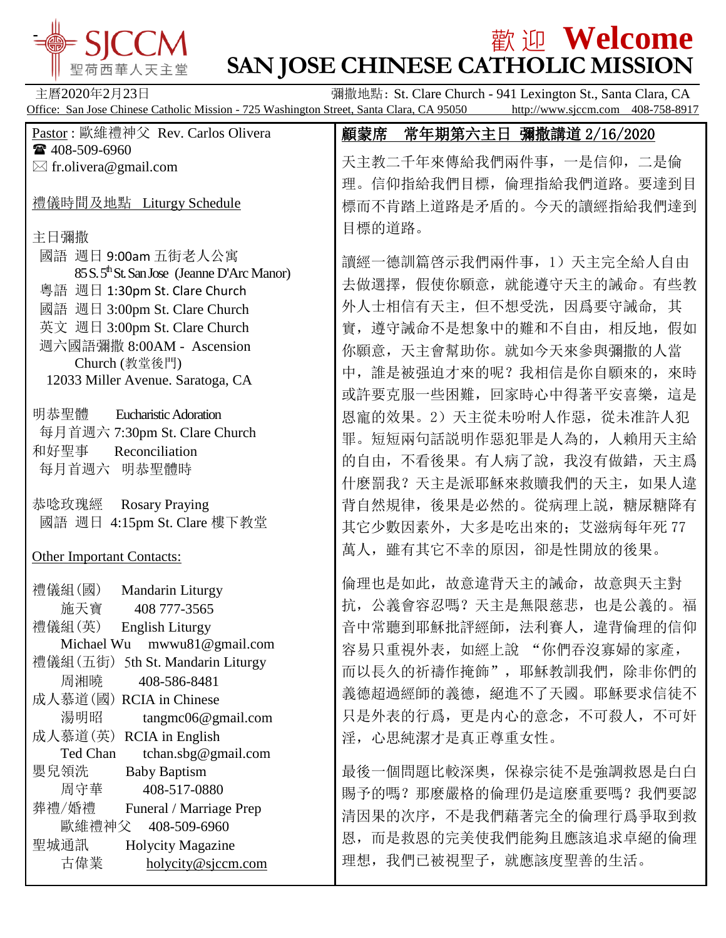

# $\frac{1}{2}$   $\frac{1}{2}$   $\frac{1}{2}$   $\frac{1}{2}$   $\frac{1}{2}$   $\frac{1}{2}$   $\frac{1}{2}$   $\frac{1}{2}$   $\frac{1}{2}$   $\frac{1}{2}$   $\frac{1}{2}$   $\frac{1}{2}$   $\frac{1}{2}$   $\frac{1}{2}$   $\frac{1}{2}$   $\frac{1}{2}$   $\frac{1}{2}$   $\frac{1}{2}$   $\frac{1}{2}$   $\frac{1}{2}$   $\frac{1}{2}$   $\frac{1}{2}$ **SAN JOSE CHINESE CATHOLIC MISSION**

主曆2020年2月23日 彌撒地點: St. Clare Church - 941 Lexington St., Santa Clara, CA Office: San Jose Chinese Catholic Mission - 725 Washington Street, Santa Clara, CA 95050

| Pastor: 歐維禮神父 Rev. Carlos Olivera                       | 顧蒙席<br>常年期第六主日 彌撒講道 2/16/2020 |
|---------------------------------------------------------|-------------------------------|
| ☎ 408-509-6960                                          | 天主教二千年來傳給我們兩件事, 一是信仰, 二是倫     |
| $\boxtimes$ fr.olivera@gmail.com                        |                               |
| 禮儀時間及地點 Liturgy Schedule                                | 理。信仰指給我們目標, 倫理指給我們道路。要達到目     |
|                                                         | 標而不肯踏上道路是矛盾的。今天的讀經指給我們達到      |
| 主日彌撒                                                    | 目標的道路。                        |
| 國語 週日 9:00am 五街老人公寓                                     | 讀經一德訓篇啓示我們兩件事, 1) 天主完全給人自由    |
| 85 S. 5 <sup>th</sup> St. San Jose (Jeanne D'Arc Manor) | 去做選擇, 假使你願意, 就能遵守天主的誡命。有些教    |
| 粵語 週日 1:30pm St. Clare Church                           |                               |
| 國語 週日 3:00pm St. Clare Church                           | 外人士相信有天主, 但不想受洗, 因爲要守誡命, 其    |
| 英文 週日 3:00pm St. Clare Church                           | 實, 遵守誡命不是想象中的難和不自由, 相反地, 假如   |
| 週六國語彌撒 8:00AM - Ascension                               | 你願意, 天主會幫助你。就如今天來參與彌撒的人當      |
| Church (教堂後門)<br>12033 Miller Avenue. Saratoga, CA      | 中, 誰是被强迫才來的呢? 我相信是你自願來的, 來時   |
|                                                         | 或許要克服一些困難, 回家時心中得著平安喜樂, 這是    |
| 明恭聖體<br><b>Eucharistic Adoration</b>                    | 恩寵的效果。2)天主從未吩咐人作惡,從未准許人犯      |
| 每月首週六 7:30pm St. Clare Church                           | 罪。短短兩句話説明作惡犯罪是人為的, 人賴用天主給     |
| 和好聖事<br>Reconciliation                                  | 的自由, 不看後果。有人病了說, 我沒有做錯, 天主爲   |
| 每月首週六 明恭聖體時                                             |                               |
|                                                         | 什麽罰我? 天主是派耶穌來救贖我們的天主, 如果人違    |
| 恭唸玫瑰經<br><b>Rosary Praying</b>                          | 背自然規律, 後果是必然的。從病理上説, 糖尿糖降有    |
| 國語 週日 4:15pm St. Clare 樓下教堂                             | 其它少數因素外, 大多是吃出來的; 艾滋病每年死 77   |
| <b>Other Important Contacts:</b>                        | 萬人,雖有其它不幸的原因,卻是性開放的後果。        |
|                                                         |                               |
| Mandarin Liturgy<br>禮儀組(國)                              | 倫理也是如此,故意違背天主的誡命,故意與天主對       |
| 施天寶<br>408 777-3565                                     | 抗, 公義會容忍嗎? 天主是無限慈悲, 也是公義的。福   |
| 禮儀組(英)<br><b>English Liturgy</b>                        | 音中常聽到耶穌批評經師, 法利賽人, 違背倫理的信仰    |
| Michael Wu mwwu81@gmail.com                             | 容易只重視外表, 如經上說 "你們吞沒寡婦的家產      |
| 禮儀組(五街)<br>5th St. Mandarin Liturgy                     | 而以長久的祈禱作掩飾", 耶穌教訓我們, 除非你們的    |
| 周湘曉<br>408-586-8481                                     | 義德超過經師的義德, 絕進不了天國。耶穌要求信徒不     |
| 成人慕道(國) RCIA in Chinese<br>湯明昭                          | 只是外表的行爲,更是内心的意念,不可殺人,不可奸      |
| tangmc06@gmail.com<br>成人慕道(英)<br>RCIA in English        |                               |
| tchan.sbg@gmail.com<br>Ted Chan                         | 淫, 心思純潔才是真正尊重女性。              |
| 嬰兒領洗<br><b>Baby Baptism</b>                             | 最後一個問題比較深奧, 保祿宗徒不是強調救恩是白白     |
| 周守華<br>408-517-0880                                     | 賜予的嗎? 那麽嚴格的倫理仍是這麽重要嗎? 我們要認    |
| 葬禮/婚禮<br>Funeral / Marriage Prep                        | 清因果的次序,不是我們藉著完全的倫理行爲爭取到救      |
| 歐維禮神父<br>408-509-6960                                   |                               |
| 聖城通訊<br>Holycity Magazine                               | 恩, 而是救恩的完美使我們能夠且應該追求卓絕的倫理     |
| 古偉業<br>holycity@sjccm.com                               | 理想, 我們已被視聖子, 就應該度聖善的生活。       |